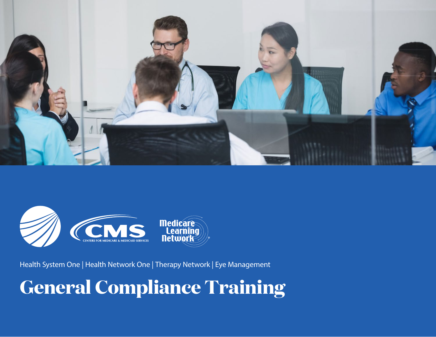



Health System One | Health Network One | Therapy Network | Eye Management

# **General Compliance Training**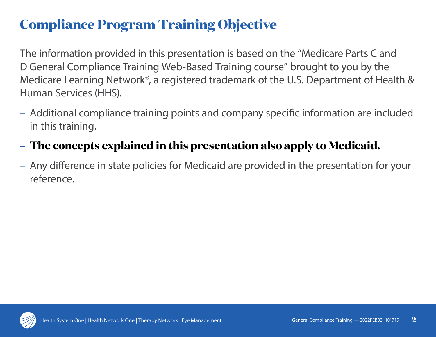# **Compliance Program Training Objective**

The information provided in this presentation is based on the "Medicare Parts C and D General Compliance Training Web-Based Training course" brought to you by the Medicare Learning Network®, a registered trademark of the U.S. Department of Health & Human Services (HHS).

– Additional compliance training points and company specific information are included in this training.

### – **The concepts explained in this presentation also apply to Medicaid.**

– Any difference in state policies for Medicaid are provided in the presentation for your reference.

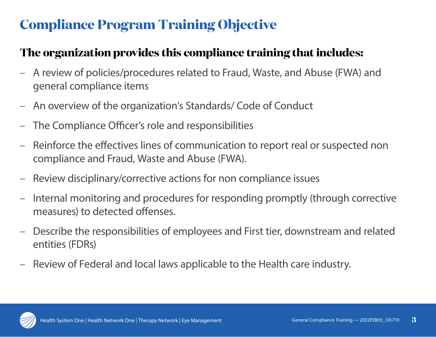# **Compliance Program Training Objective**

#### **The organization provides this compliance training that includes:**

- A review of policies/procedures related to Fraud, Waste, and Abuse (FWA) and general compliance items
- An overview of the organization's Standards/ Code of Conduct
- The Compliance Officer's role and responsibilities
- Reinforce the effectives lines of communication to report real or suspected non compliance and Fraud, Waste and Abuse (FWA).
- Review disciplinary/corrective actions for non compliance issues
- Internal monitoring and procedures for responding promptly (through corrective measures) to detected offenses.
- Describe the responsibilities of employees and First tier, downstream and related entities (FDRs)
- Review of Federal and local laws applicable to the Health care industry.

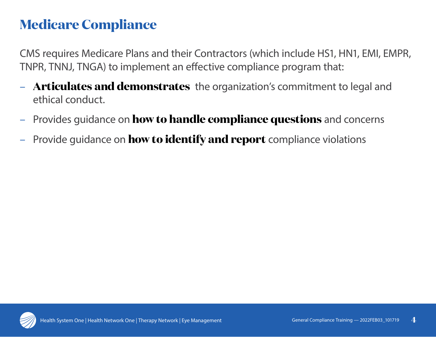### **Medicare Compliance**

CMS requires Medicare Plans and their Contractors (which include HS1, HN1, EMI, EMPR, TNPR, TNNJ, TNGA) to implement an effective compliance program that:

- **Articulates and demonstrates** the organization's commitment to legal and ethical conduct.
- Provides guidance on **how to handle compliance questions** and concerns
- Provide guidance on **how to identify and report** compliance violations

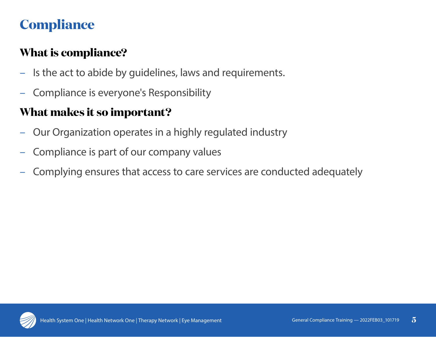# **Compliance**

### **What is compliance?**

- Is the act to abide by guidelines, laws and requirements.
- Compliance is everyone's Responsibility

### **What makes it so important?**

- Our Organization operates in a highly regulated industry
- Compliance is part of our company values
- Complying ensures that access to care services are conducted adequately

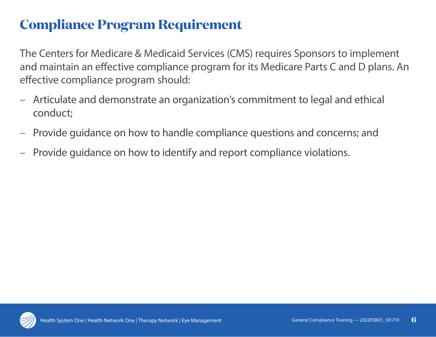### **Compliance Program Requirement**

The Centers for Medicare & Medicaid Services (CMS) requires Sponsors to implement and maintain an effective compliance program for its Medicare Parts C and D plans. An effective compliance program should:

- Articulate and demonstrate an organization's commitment to legal and ethical conduct;
- Provide guidance on how to handle compliance questions and concerns; and
- Provide guidance on how to identify and report compliance violations.

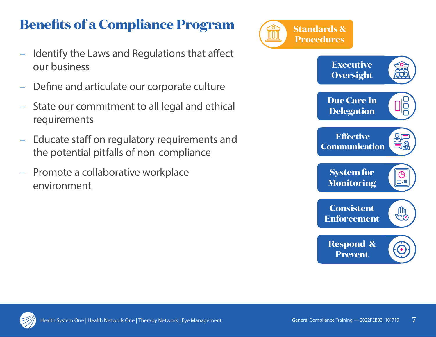# **Benefits of a Compliance Program**

- Identify the Laws and Regulations that affect our business
- Define and articulate our corporate culture
- State our commitment to all legal and ethical requirements
- Educate staff on regulatory requirements and the potential pitfalls of non-compliance
- Promote a collaborative workplace environment



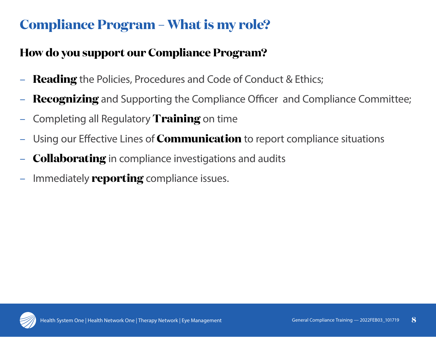# **Compliance Program – What is my role?**

### **How do you support our Compliance Program?**

- **Reading** the Policies, Procedures and Code of Conduct & Ethics;
- **Recognizing** and Supporting the Compliance Officer and Compliance Committee;
- Completing all Regulatory **Training** on time
- Using our Effective Lines of **Communication** to report compliance situations
- **Collaborating** in compliance investigations and audits
- Immediately **reporting** compliance issues.

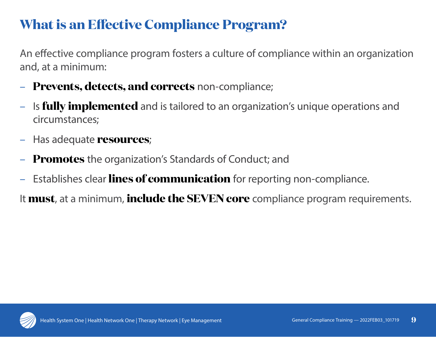### **What is an Effective Compliance Program?**

An effective compliance program fosters a culture of compliance within an organization and, at a minimum:

- **Prevents, detects, and corrects** non-compliance;
- Is **fully implemented** and is tailored to an organization's unique operations and circumstances;
- Has adequate **resources**;
- **Promotes** the organization's Standards of Conduct; and
- Establishes clear **lines of communication** for reporting non-compliance.

It **must**, at a minimum, **include the SEVEN core** compliance program requirements.

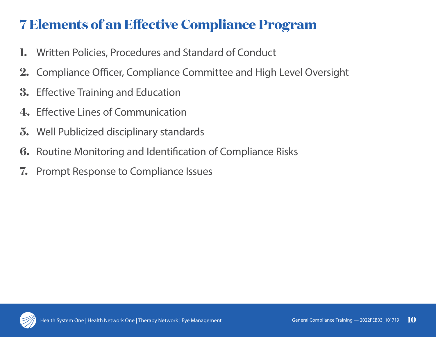# **7 Elements of an Effective Compliance Program**

- **1.** Written Policies, Procedures and Standard of Conduct
- **2.** Compliance Officer, Compliance Committee and High Level Oversight
- **3.** Effective Training and Education
- **4.** Effective Lines of Communication
- **5.** Well Publicized disciplinary standards
- **6.** Routine Monitoring and Identification of Compliance Risks
- **7.** Prompt Response to Compliance Issues

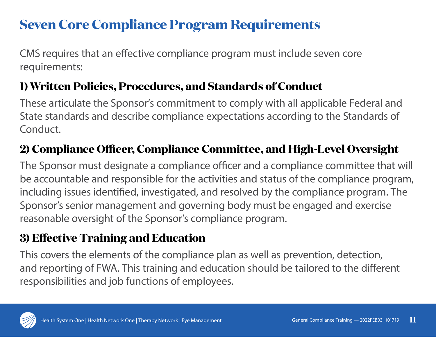### **Seven Core Compliance Program Requirements**

CMS requires that an effective compliance program must include seven core requirements:

### **1) Written Policies, Procedures, and Standards of Conduct**

These articulate the Sponsor's commitment to comply with all applicable Federal and State standards and describe compliance expectations according to the Standards of Conduct.

### **2) Compliance Officer, Compliance Committee, and High-Level Oversight**

The Sponsor must designate a compliance officer and a compliance committee that will be accountable and responsible for the activities and status of the compliance program, including issues identified, investigated, and resolved by the compliance program. The Sponsor's senior management and governing body must be engaged and exercise reasonable oversight of the Sponsor's compliance program.

### **3) Effective Training and Education**

This covers the elements of the compliance plan as well as prevention, detection, and reporting of FWA. This training and education should be tailored to the different responsibilities and job functions of employees.

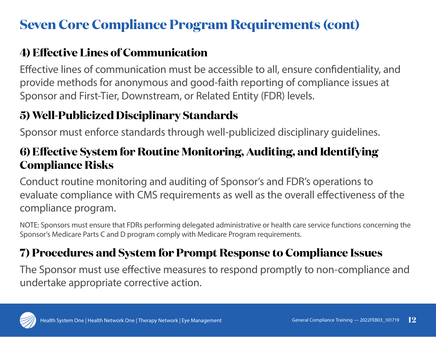# **Seven Core Compliance Program Requirements (cont)**

### **4) Effective Lines of Communication**

Effective lines of communication must be accessible to all, ensure confidentiality, and provide methods for anonymous and good-faith reporting of compliance issues at Sponsor and First-Tier, Downstream, or Related Entity (FDR) levels.

### **5) Well-Publicized Disciplinary Standards**

Sponsor must enforce standards through well-publicized disciplinary guidelines.

#### **6) Effective System for Routine Monitoring, Auditing, and Identifying Compliance Risks**

Conduct routine monitoring and auditing of Sponsor's and FDR's operations to evaluate compliance with CMS requirements as well as the overall effectiveness of the compliance program.

NOTE: Sponsors must ensure that FDRs performing delegated administrative or health care service functions concerning the Sponsor's Medicare Parts C and D program comply with Medicare Program requirements.

### **7) Procedures and System for Prompt Response to Compliance Issues**

The Sponsor must use effective measures to respond promptly to non-compliance and undertake appropriate corrective action.

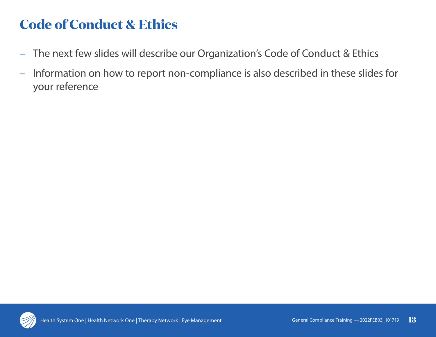# **Code of Conduct & Ethics**

- The next few slides will describe our Organization's Code of Conduct & Ethics
- Information on how to report non-compliance is also described in these slides for your reference

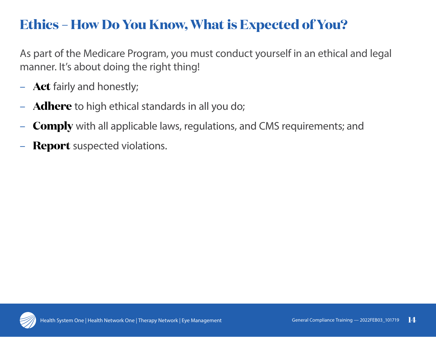### **Ethics – How Do You Know, What is Expected of You?**

As part of the Medicare Program, you must conduct yourself in an ethical and legal manner. It's about doing the right thing!

- **Act** fairly and honestly;
- **Adhere** to high ethical standards in all you do;
- **Comply** with all applicable laws, regulations, and CMS requirements; and
- **Report** suspected violations.

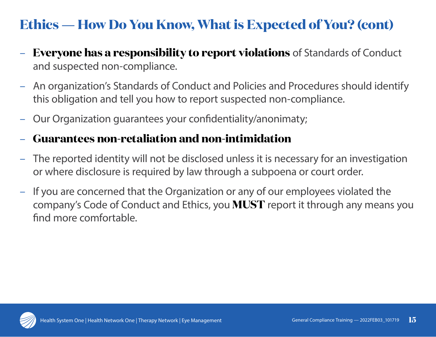# **Ethics** — **How Do You Know, What is Expected of You? (cont)**

- **Everyone has a responsibility to report violations** of Standards of Conduct and suspected non-compliance.
- An organization's Standards of Conduct and Policies and Procedures should identify this obligation and tell you how to report suspected non-compliance.
- Our Organization guarantees your confidentiality/anonimaty;

#### – **Guarantees non-retaliation and non-intimidation**

- The reported identity will not be disclosed unless it is necessary for an investigation or where disclosure is required by law through a subpoena or court order.
- If you are concerned that the Organization or any of our employees violated the company's Code of Conduct and Ethics, you **MUST** report it through any means you find more comfortable.

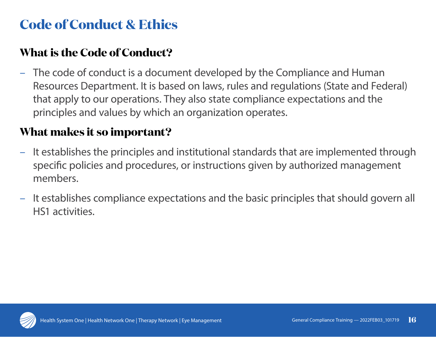# **Code of Conduct & Ethics**

#### **What is the Code of Conduct?**

– The code of conduct is a document developed by the Compliance and Human Resources Department. It is based on laws, rules and regulations (State and Federal) that apply to our operations. They also state compliance expectations and the principles and values by which an organization operates.

#### **What makes it so important?**

- It establishes the principles and institutional standards that are implemented through specific policies and procedures, or instructions given by authorized management members.
- It establishes compliance expectations and the basic principles that should govern all HS1 activities.

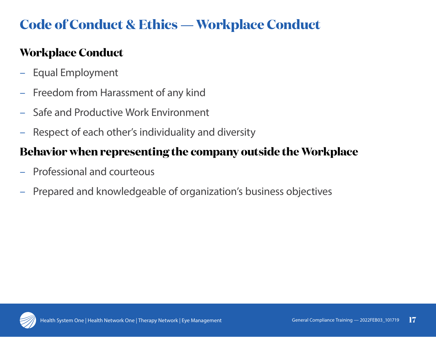# **Code of Conduct & Ethics** — **Workplace Conduct**

### **Workplace Conduct**

- Equal Employment
- Freedom from Harassment of any kind
- Safe and Productive Work Environment
- Respect of each other's individuality and diversity

#### **Behavior when representing the company outside the Workplace**

- Professional and courteous
- Prepared and knowledgeable of organization's business objectives

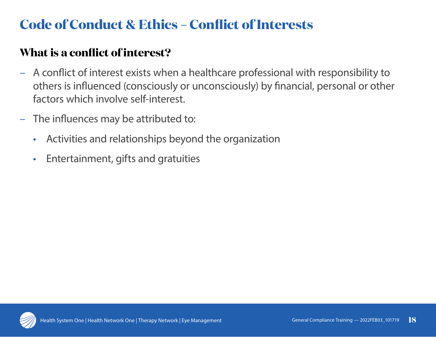# **Code of Conduct & Ethics – Conflict of Interests**

#### **What is a conflict of interest?**

- A conflict of interest exists when a healthcare professional with responsibility to others is influenced (consciously or unconsciously) by financial, personal or other factors which involve self-interest.
- The influences may be attributed to:
	- Activities and relationships beyond the organization
	- Entertainment, gifts and gratuities

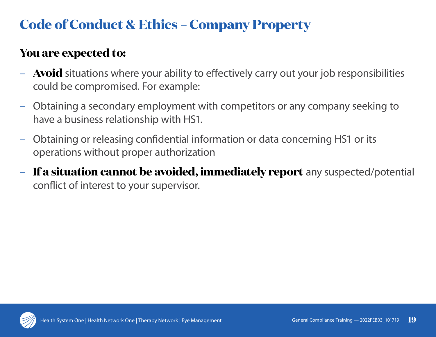# **Code of Conduct & Ethics – Company Property**

#### **You are expected to:**

- **Avoid** situations where your ability to effectively carry out your job responsibilities could be compromised. For example:
- Obtaining a secondary employment with competitors or any company seeking to have a business relationship with HS1.
- Obtaining or releasing confidential information or data concerning HS1 or its operations without proper authorization
- **If a situation cannot be avoided, immediately report** any suspected/potential conflict of interest to your supervisor.

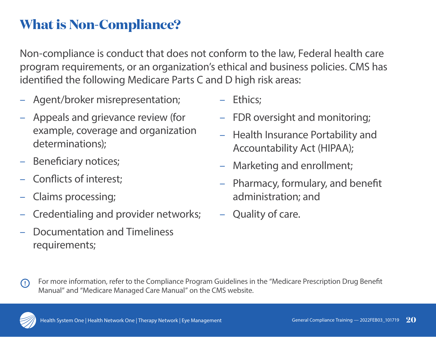### **What is Non-Compliance?**

Non-compliance is conduct that does not conform to the law, Federal health care program requirements, or an organization's ethical and business policies. CMS has identified the following Medicare Parts C and D high risk areas:

- Agent/broker misrepresentation;
- Appeals and grievance review (for example, coverage and organization determinations);
- Beneficiary notices;
- Conflicts of interest;
- Claims processing;
- Credentialing and provider networks;
- Documentation and Timeliness requirements;
- Ethics;
- FDR oversight and monitoring;
- Health Insurance Portability and Accountability Act (HIPAA);
- Marketing and enrollment;
- Pharmacy, formulary, and benefit administration; and
- Quality of care.



For more information, refer to the Compliance Program Guidelines in the "Medicare Prescription Drug Benefit Manual" and "Medicare Managed Care Manual" on the CMS website.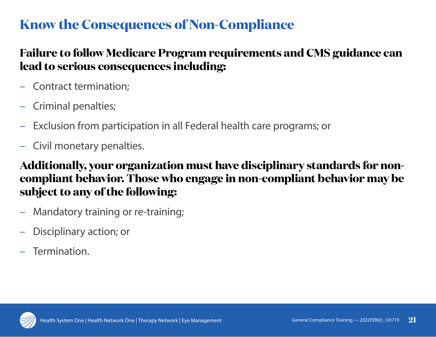### **Know the Consequences of Non-Compliance**

#### **Failure to follow Medicare Program requirements and CMS guidance can lead to serious consequences including:**

- Contract termination;
- Criminal penalties;
- Exclusion from participation in all Federal health care programs; or
- Civil monetary penalties.

#### **Additionally, your organization must have disciplinary standards for noncompliant behavior. Those who engage in non-compliant behavior may be subject to any of the following:**

- Mandatory training or re-training;
- Disciplinary action; or
- Termination.

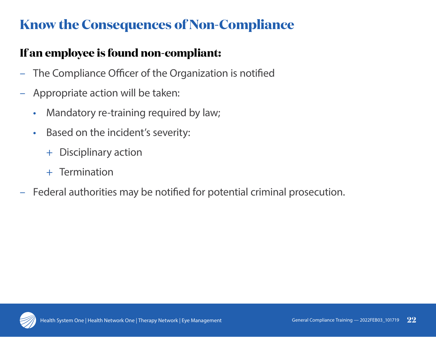# **Know the Consequences of Non-Compliance**

### **If an employee is found non-compliant:**

- The Compliance Officer of the Organization is notified
- Appropriate action will be taken:
	- Mandatory re-training required by law;
	- Based on the incident's severity:
		- + Disciplinary action
		- + Termination
- Federal authorities may be notified for potential criminal prosecution.

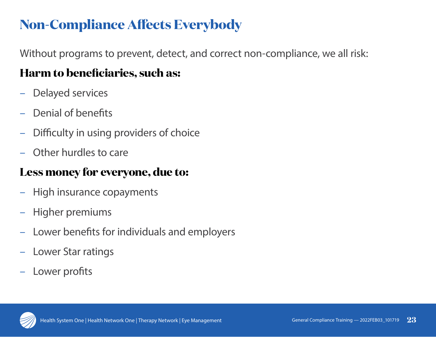# **Non-Compliance Affects Everybody**

Without programs to prevent, detect, and correct non-compliance, we all risk:

### **Harm to beneficiaries, such as:**

- Delayed services
- Denial of benefits
- Difficulty in using providers of choice
- Other hurdles to care

#### **Less money for everyone, due to:**

- High insurance copayments
- Higher premiums
- Lower benefits for individuals and employers
- Lower Star ratings
- Lower profits

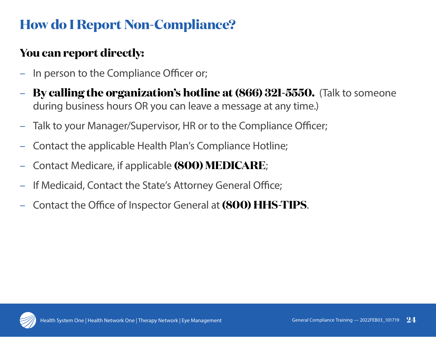# **How do I Report Non-Compliance?**

### **You can report directly:**

- In person to the Compliance Officer or;
- **By calling the organization's hotline at (866) 321-5550.** (Talk to someone during business hours OR you can leave a message at any time.)
- Talk to your Manager/Supervisor, HR or to the Compliance Officer;
- Contact the applicable Health Plan's Compliance Hotline;
- Contact Medicare, if applicable **(800) MEDICARE**;
- If Medicaid, Contact the State's Attorney General Office;
- Contact the Office of Inspector General at **(800) HHS-TIPS**.

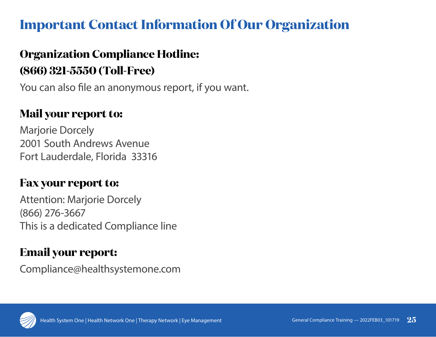### **Important Contact Information Of Our Organization**

### **Organization Compliance Hotline: (866) 321-5550 (Toll-Free)**

You can also file an anonymous report, if you want.

#### **Mail your report to:**

Marjorie Dorcely 2001 South Andrews Avenue Fort Lauderdale, Florida 33316

#### **Fax your report to:**

Attention: Marjorie Dorcely (866) 276-3667 This is a dedicated Compliance line

#### **Email your report:**

Compliance@healthsystemone.com

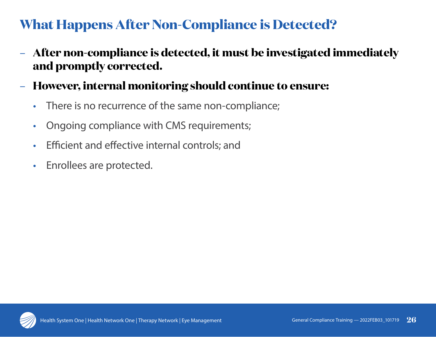# **What Happens After Non-Compliance is Detected?**

- **After non-compliance is detected, it must be investigated immediately and promptly corrected.**
- **However, internal monitoring should continue to ensure:**
	- There is no recurrence of the same non-compliance;
	- Ongoing compliance with CMS requirements;
	- Efficient and effective internal controls; and
	- Enrollees are protected.

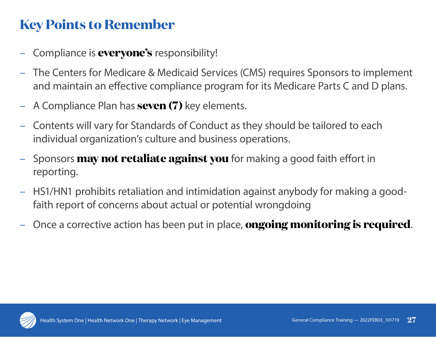### **Key Points to Remember**

- Compliance is **everyone's** responsibility!
- The Centers for Medicare & Medicaid Services (CMS) requires Sponsors to implement and maintain an effective compliance program for its Medicare Parts C and D plans.
- A Compliance Plan has **seven (7)** key elements.
- Contents will vary for Standards of Conduct as they should be tailored to each individual organization's culture and business operations.
- Sponsors **may not retaliate against you** for making a good faith effort in reporting.
- HS1/HN1 prohibits retaliation and intimidation against anybody for making a goodfaith report of concerns about actual or potential wrongdoing
- Once a corrective action has been put in place, **ongoing monitoring is required**.

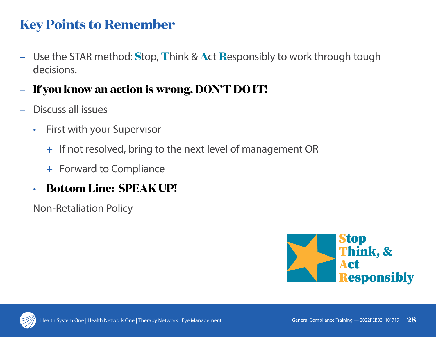### **Key Points to Remember**

- Use the STAR method: **S**top, **T**hink & **A**ct **R**esponsibly to work through tough decisions.
- **If you know an action is wrong, DON'T DO IT!**
- Discuss all issues
	- First with your Supervisor
		- + If not resolved, bring to the next level of management OR
		- + Forward to Compliance
	- **Bottom Line: SPEAK UP!**
- Non-Retaliation Policy



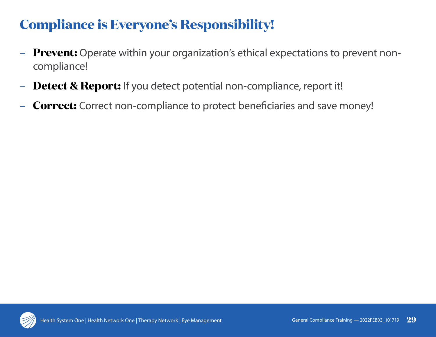# **Compliance is Everyone's Responsibility!**

- **Prevent:** Operate within your organization's ethical expectations to prevent noncompliance!
- **Detect & Report:** If you detect potential non-compliance, report it!
- **Correct:** Correct non-compliance to protect beneficiaries and save money!